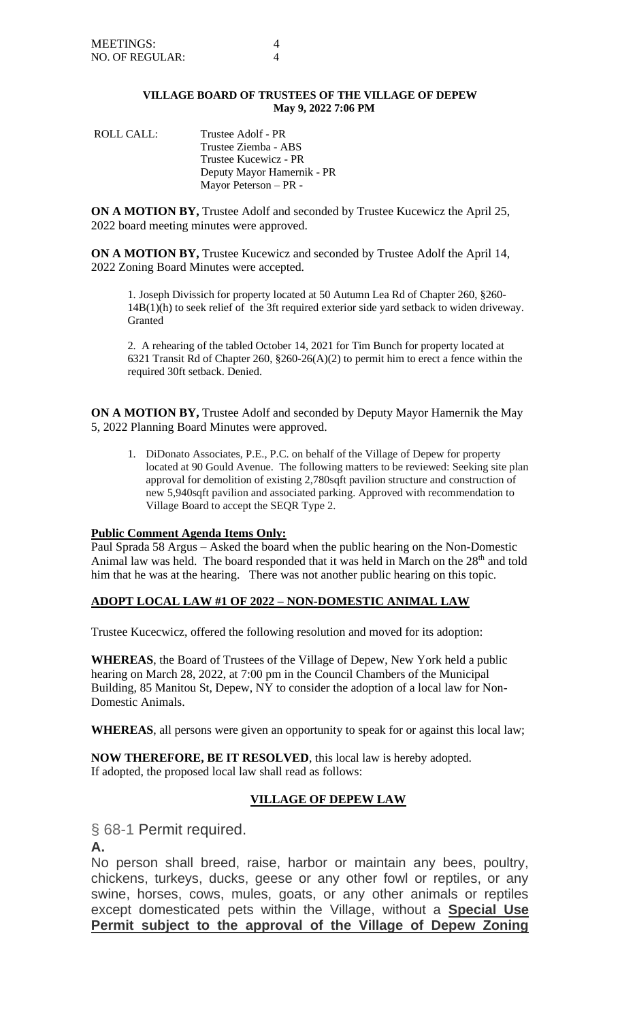## **VILLAGE BOARD OF TRUSTEES OF THE VILLAGE OF DEPEW May 9, 2022 7:06 PM**

ROLL CALL: Trustee Adolf - PR Trustee Ziemba - ABS Trustee Kucewicz - PR Deputy Mayor Hamernik - PR Mayor Peterson – PR -

**ON A MOTION BY,** Trustee Adolf and seconded by Trustee Kucewicz the April 25, 2022 board meeting minutes were approved.

**ON A MOTION BY,** Trustee Kucewicz and seconded by Trustee Adolf the April 14, 2022 Zoning Board Minutes were accepted.

1. Joseph Divissich for property located at 50 Autumn Lea Rd of Chapter 260, §260- 14B(1)(h) to seek relief of the 3ft required exterior side yard setback to widen driveway. Granted

2. A rehearing of the tabled October 14, 2021 for Tim Bunch for property located at 6321 Transit Rd of Chapter 260, §260-26(A)(2) to permit him to erect a fence within the required 30ft setback. Denied.

**ON A MOTION BY,** Trustee Adolf and seconded by Deputy Mayor Hamernik the May 5, 2022 Planning Board Minutes were approved.

1. DiDonato Associates, P.E., P.C. on behalf of the Village of Depew for property located at 90 Gould Avenue. The following matters to be reviewed: Seeking site plan approval for demolition of existing 2,780sqft pavilion structure and construction of new 5,940sqft pavilion and associated parking. Approved with recommendation to Village Board to accept the SEQR Type 2.

## **Public Comment Agenda Items Only:**

Paul Sprada 58 Argus – Asked the board when the public hearing on the Non-Domestic Animal law was held. The board responded that it was held in March on the  $28<sup>th</sup>$  and told him that he was at the hearing. There was not another public hearing on this topic.

# **ADOPT LOCAL LAW #1 OF 2022 – NON-DOMESTIC ANIMAL LAW**

Trustee Kucecwicz, offered the following resolution and moved for its adoption:

**WHEREAS**, the Board of Trustees of the Village of Depew, New York held a public hearing on March 28, 2022, at 7:00 pm in the Council Chambers of the Municipal Building, 85 Manitou St, Depew, NY to consider the adoption of a local law for Non-Domestic Animals.

**WHEREAS**, all persons were given an opportunity to speak for or against this local law;

**NOW THEREFORE, BE IT RESOLVED**, this local law is hereby adopted. If adopted, the proposed local law shall read as follows:

## **VILLAGE OF DEPEW LAW**

§ 68-1 Permit required.

**A.**

No person shall breed, raise, harbor or maintain any bees, poultry, chickens, turkeys, ducks, geese or any other fowl or reptiles, or any swine, horses, cows, mules, goats, or any other animals or reptiles except domesticated pets within the Village, without a **Special Use Permit subject to the approval of the Village of Depew Zoning**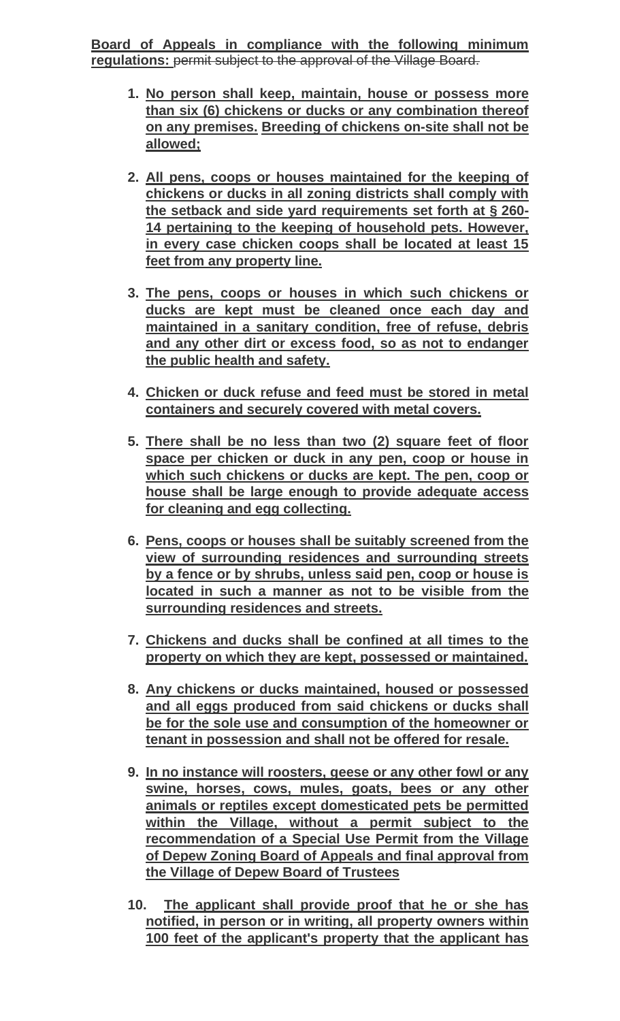**Board of Appeals in compliance with the following minimum regulations:** permit subject to the approval of the Village Board.

- **1. No person shall keep, maintain, house or possess more than six (6) chickens or ducks or any combination thereof on any premises. Breeding of chickens on-site shall not be allowed;**
- **2. All pens, coops or houses maintained for the keeping of chickens or ducks in all zoning districts shall comply with the setback and side yard requirements set forth at § 260- 14 pertaining to the keeping of household pets. However, in every case chicken coops shall be located at least 15 feet from any property line.**
- **3. The pens, coops or houses in which such chickens or ducks are kept must be cleaned once each day and maintained in a sanitary condition, free of refuse, debris and any other dirt or excess food, so as not to endanger the public health and safety.**
- **4. Chicken or duck refuse and feed must be stored in metal containers and securely covered with metal covers.**
- **5. There shall be no less than two (2) square feet of floor space per chicken or duck in any pen, coop or house in which such chickens or ducks are kept. The pen, coop or house shall be large enough to provide adequate access for cleaning and egg collecting.**
- **6. Pens, coops or houses shall be suitably screened from the view of surrounding residences and surrounding streets by a fence or by shrubs, unless said pen, coop or house is located in such a manner as not to be visible from the surrounding residences and streets.**
- **7. Chickens and ducks shall be confined at all times to the property on which they are kept, possessed or maintained.**
- **8. Any chickens or ducks maintained, housed or possessed and all eggs produced from said chickens or ducks shall be for the sole use and consumption of the homeowner or tenant in possession and shall not be offered for resale.**
- **9. In no instance will roosters, geese or any other fowl or any swine, horses, cows, mules, goats, bees or any other animals or reptiles except domesticated pets be permitted within the Village, without a permit subject to the recommendation of a Special Use Permit from the Village of Depew Zoning Board of Appeals and final approval from the Village of Depew Board of Trustees**
- **10. The applicant shall provide proof that he or she has notified, in person or in writing, all property owners within 100 feet of the applicant's property that the applicant has**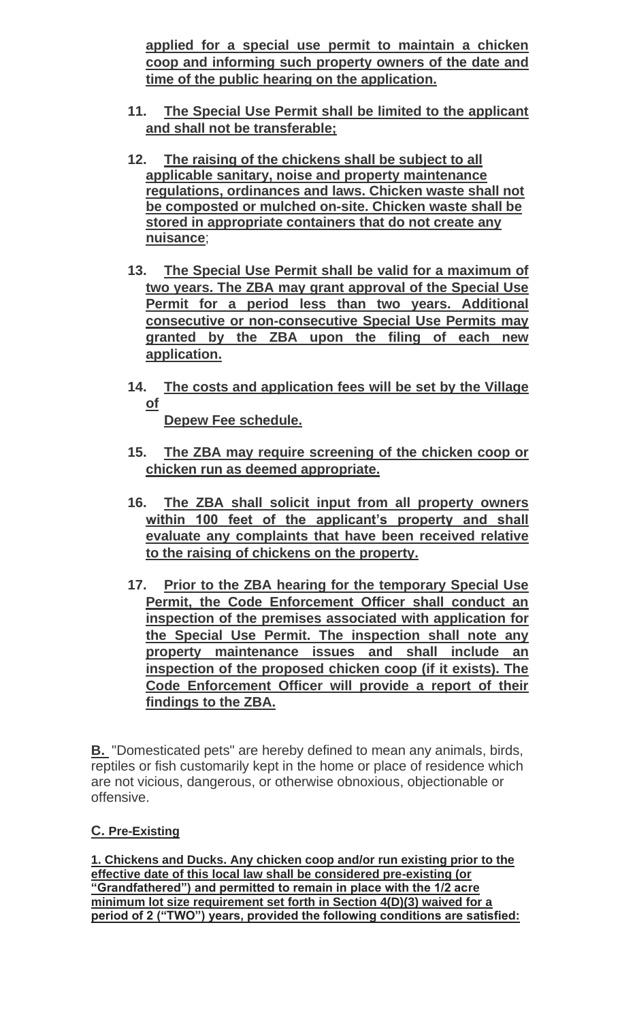**applied for a special use permit to maintain a chicken coop and informing such property owners of the date and time of the public hearing on the application.** 

- **11. The Special Use Permit shall be limited to the applicant and shall not be transferable;**
- **12. The raising of the chickens shall be subject to all applicable sanitary, noise and property maintenance regulations, ordinances and laws. Chicken waste shall not be composted or mulched on-site. Chicken waste shall be stored in appropriate containers that do not create any nuisance**;
- **13. The Special Use Permit shall be valid for a maximum of two years. The ZBA may grant approval of the Special Use Permit for a period less than two years. Additional consecutive or non-consecutive Special Use Permits may granted by the ZBA upon the filing of each new application.**
- **14. The costs and application fees will be set by the Village of**

**Depew Fee schedule.** 

- **15. The ZBA may require screening of the chicken coop or chicken run as deemed appropriate.**
- **16. The ZBA shall solicit input from all property owners within 100 feet of the applicant's property and shall evaluate any complaints that have been received relative to the raising of chickens on the property.**
- **17. Prior to the ZBA hearing for the temporary Special Use Permit, the Code Enforcement Officer shall conduct an inspection of the premises associated with application for the Special Use Permit. The inspection shall note any property maintenance issues and shall include an inspection of the proposed chicken coop (if it exists). The Code Enforcement Officer will provide a report of their findings to the ZBA.**

**[B.](https://ecode360.com/12816212#12816212)** "Domesticated pets" are hereby defined to mean any animals, birds, reptiles or fish customarily kept in the home or place of residence which are not vicious, dangerous, or otherwise obnoxious, objectionable or offensive.

# **C. Pre-Existing**

**1. Chickens and Ducks. Any chicken coop and/or run existing prior to the effective date of this local law shall be considered pre-existing (or "Grandfathered") and permitted to remain in place with the 1/2 acre minimum lot size requirement set forth in Section 4(D)(3) waived for a period of 2 ("TWO") years, provided the following conditions are satisfied:**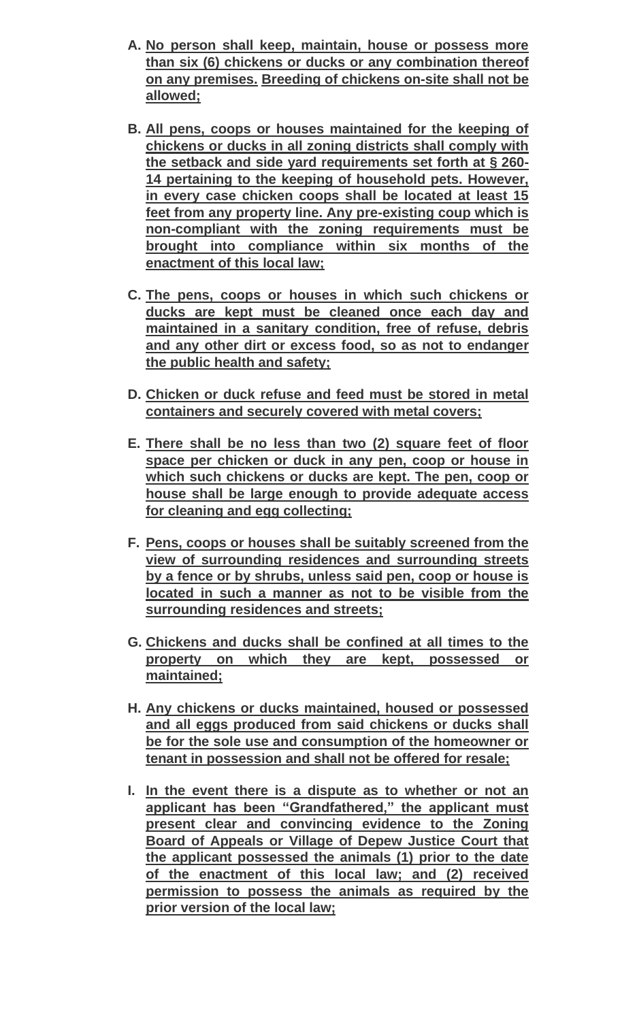- **A. No person shall keep, maintain, house or possess more than six (6) chickens or ducks or any combination thereof on any premises. Breeding of chickens on-site shall not be allowed;**
- **B. All pens, coops or houses maintained for the keeping of chickens or ducks in all zoning districts shall comply with the setback and side yard requirements set forth at § 260- 14 pertaining to the keeping of household pets. However, in every case chicken coops shall be located at least 15 feet from any property line. Any pre-existing coup which is non-compliant with the zoning requirements must be brought into compliance within six months of the enactment of this local law;**
- **C. The pens, coops or houses in which such chickens or ducks are kept must be cleaned once each day and maintained in a sanitary condition, free of refuse, debris and any other dirt or excess food, so as not to endanger the public health and safety;**
- **D. Chicken or duck refuse and feed must be stored in metal containers and securely covered with metal covers;**
- **E. There shall be no less than two (2) square feet of floor space per chicken or duck in any pen, coop or house in which such chickens or ducks are kept. The pen, coop or house shall be large enough to provide adequate access for cleaning and egg collecting;**
- **F. Pens, coops or houses shall be suitably screened from the view of surrounding residences and surrounding streets by a fence or by shrubs, unless said pen, coop or house is located in such a manner as not to be visible from the surrounding residences and streets;**
- **G. Chickens and ducks shall be confined at all times to the property on which they are kept, possessed or maintained;**
- **H. Any chickens or ducks maintained, housed or possessed and all eggs produced from said chickens or ducks shall be for the sole use and consumption of the homeowner or tenant in possession and shall not be offered for resale;**
- **I. In the event there is a dispute as to whether or not an applicant has been "Grandfathered," the applicant must present clear and convincing evidence to the Zoning Board of Appeals or Village of Depew Justice Court that the applicant possessed the animals (1) prior to the date of the enactment of this local law; and (2) received permission to possess the animals as required by the prior version of the local law;**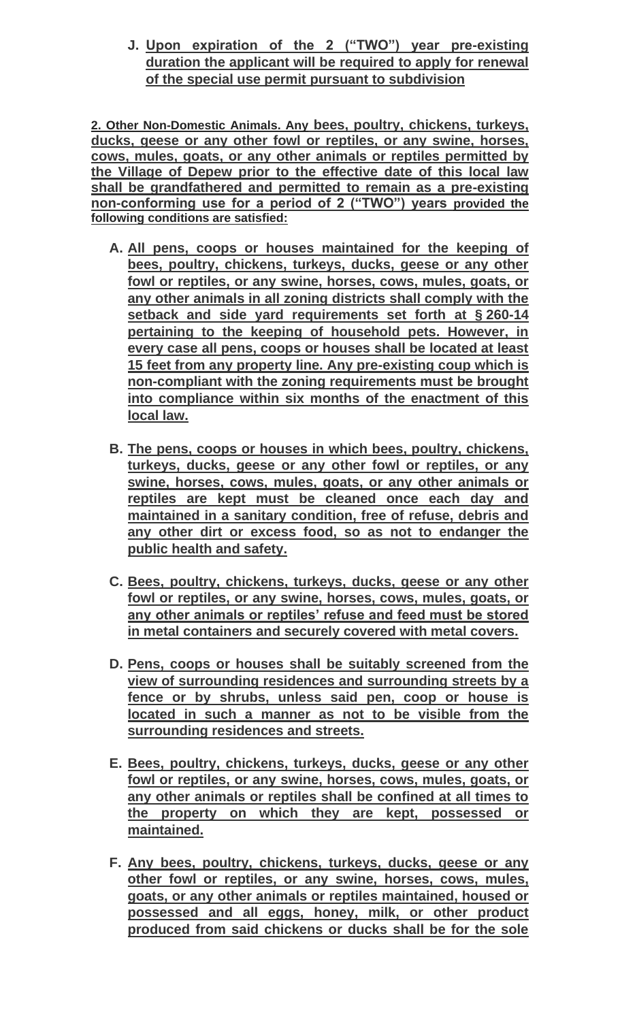**J. Upon expiration of the 2 ("TWO") year pre-existing duration the applicant will be required to apply for renewal of the special use permit pursuant to subdivision** 

**2. Other Non-Domestic Animals. Any bees, poultry, chickens, turkeys, ducks, geese or any other fowl or reptiles, or any swine, horses, cows, mules, goats, or any other animals or reptiles permitted by the Village of Depew prior to the effective date of this local law shall be grandfathered and permitted to remain as a pre-existing non-conforming use for a period of 2 ("TWO") years provided the following conditions are satisfied:**

- **A. All pens, coops or houses maintained for the keeping of bees, poultry, chickens, turkeys, ducks, geese or any other fowl or reptiles, or any swine, horses, cows, mules, goats, or any other animals in all zoning districts shall comply with the setback and side yard requirements set forth at § 260-14 pertaining to the keeping of household pets. However, in every case all pens, coops or houses shall be located at least 15 feet from any property line. Any pre-existing coup which is non-compliant with the zoning requirements must be brought into compliance within six months of the enactment of this local law.**
- **B. The pens, coops or houses in which bees, poultry, chickens, turkeys, ducks, geese or any other fowl or reptiles, or any swine, horses, cows, mules, goats, or any other animals or reptiles are kept must be cleaned once each day and maintained in a sanitary condition, free of refuse, debris and any other dirt or excess food, so as not to endanger the public health and safety.**
- **C. Bees, poultry, chickens, turkeys, ducks, geese or any other fowl or reptiles, or any swine, horses, cows, mules, goats, or any other animals or reptiles' refuse and feed must be stored in metal containers and securely covered with metal covers.**
- **D. Pens, coops or houses shall be suitably screened from the view of surrounding residences and surrounding streets by a fence or by shrubs, unless said pen, coop or house is located in such a manner as not to be visible from the surrounding residences and streets.**
- **E. Bees, poultry, chickens, turkeys, ducks, geese or any other fowl or reptiles, or any swine, horses, cows, mules, goats, or any other animals or reptiles shall be confined at all times to the property on which they are kept, possessed or maintained.**
- **F. Any bees, poultry, chickens, turkeys, ducks, geese or any other fowl or reptiles, or any swine, horses, cows, mules, goats, or any other animals or reptiles maintained, housed or possessed and all eggs, honey, milk, or other product produced from said chickens or ducks shall be for the sole**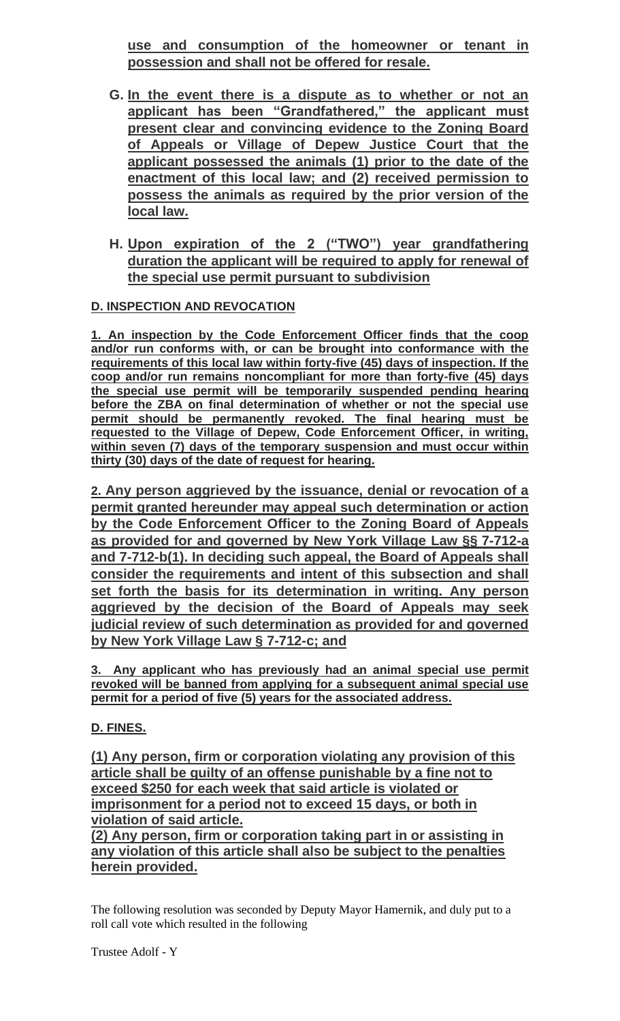**use and consumption of the homeowner or tenant in possession and shall not be offered for resale.**

- **G. In the event there is a dispute as to whether or not an applicant has been "Grandfathered," the applicant must present clear and convincing evidence to the Zoning Board of Appeals or Village of Depew Justice Court that the applicant possessed the animals (1) prior to the date of the enactment of this local law; and (2) received permission to possess the animals as required by the prior version of the local law.**
- **H. Upon expiration of the 2 ("TWO") year grandfathering duration the applicant will be required to apply for renewal of the special use permit pursuant to subdivision**

# **D. INSPECTION AND REVOCATION**

**1. An inspection by the Code Enforcement Officer finds that the coop and/or run conforms with, or can be brought into conformance with the requirements of this local law within forty-five (45) days of inspection. If the coop and/or run remains noncompliant for more than forty-five (45) days the special use permit will be temporarily suspended pending hearing before the ZBA on final determination of whether or not the special use permit should be permanently revoked. The final hearing must be requested to the Village of Depew, Code Enforcement Officer, in writing, within seven (7) days of the temporary suspension and must occur within thirty (30) days of the date of request for hearing.**

**2. Any person aggrieved by the issuance, denial or revocation of a permit granted hereunder may appeal such determination or action by the Code Enforcement Officer to the Zoning Board of Appeals as provided for and governed by New York Village Law §§ 7-712-a and 7-712-b(1). In deciding such appeal, the Board of Appeals shall consider the requirements and intent of this subsection and shall set forth the basis for its determination in writing. Any person aggrieved by the decision of the Board of Appeals may seek judicial review of such determination as provided for and governed by New York Village Law § 7-712-c; and**

**3. Any applicant who has previously had an animal special use permit revoked will be banned from applying for a subsequent animal special use permit for a period of five (5) years for the associated address.**

# **D. FINES.**

**(1) Any person, firm or corporation violating any provision of this article shall be guilty of an offense punishable by a fine not to exceed \$250 for each week that said article is violated or imprisonment for a period not to exceed 15 days, or both in violation of said article.**

**(2) Any person, firm or corporation taking part in or assisting in any violation of this article shall also be subject to the penalties herein provided.**

The following resolution was seconded by Deputy Mayor Hamernik, and duly put to a roll call vote which resulted in the following

Trustee Adolf - Y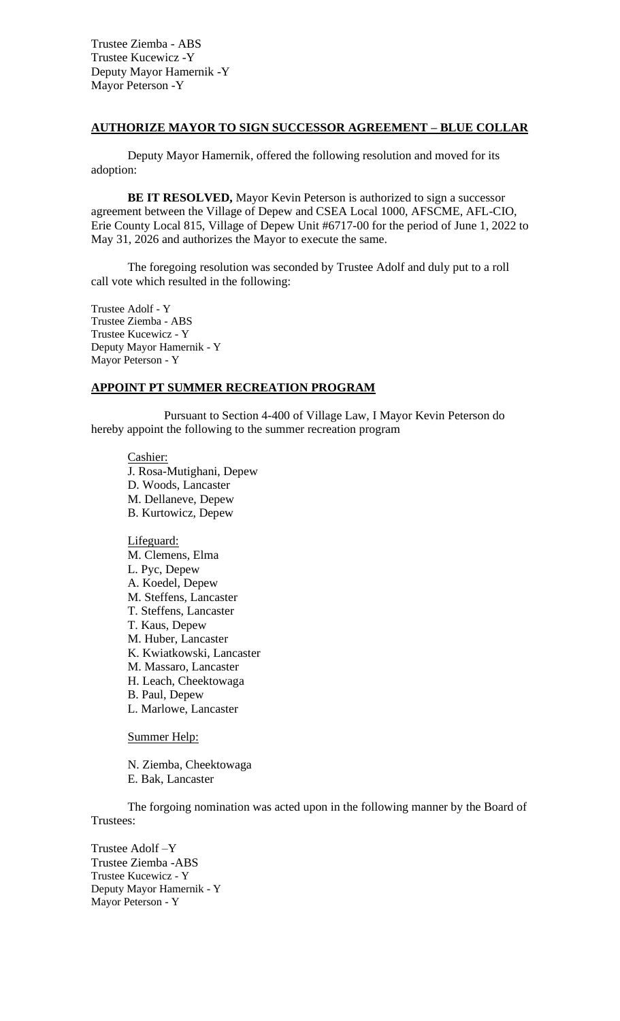Trustee Ziemba - ABS Trustee Kucewicz -Y Deputy Mayor Hamernik -Y Mayor Peterson -Y

#### **AUTHORIZE MAYOR TO SIGN SUCCESSOR AGREEMENT – BLUE COLLAR**

Deputy Mayor Hamernik, offered the following resolution and moved for its adoption:

**BE IT RESOLVED,** Mayor Kevin Peterson is authorized to sign a successor agreement between the Village of Depew and CSEA Local 1000, AFSCME, AFL-CIO, Erie County Local 815, Village of Depew Unit #6717-00 for the period of June 1, 2022 to May 31, 2026 and authorizes the Mayor to execute the same.

The foregoing resolution was seconded by Trustee Adolf and duly put to a roll call vote which resulted in the following:

Trustee Adolf - Y Trustee Ziemba - ABS Trustee Kucewicz - Y Deputy Mayor Hamernik - Y Mayor Peterson - Y

#### **APPOINT PT SUMMER RECREATION PROGRAM**

Pursuant to Section 4-400 of Village Law, I Mayor Kevin Peterson do hereby appoint the following to the summer recreation program

Cashier: J. Rosa-Mutighani, Depew D. Woods, Lancaster M. Dellaneve, Depew B. Kurtowicz, Depew

Lifeguard: M. Clemens, Elma L. Pyc, Depew A. Koedel, Depew M. Steffens, Lancaster T. Steffens, Lancaster T. Kaus, Depew M. Huber, Lancaster K. Kwiatkowski, Lancaster M. Massaro, Lancaster H. Leach, Cheektowaga B. Paul, Depew L. Marlowe, Lancaster

Summer Help:

N. Ziemba, Cheektowaga

E. Bak, Lancaster

The forgoing nomination was acted upon in the following manner by the Board of Trustees:

Trustee Adolf –Y Trustee Ziemba -ABS Trustee Kucewicz - Y Deputy Mayor Hamernik - Y Mayor Peterson - Y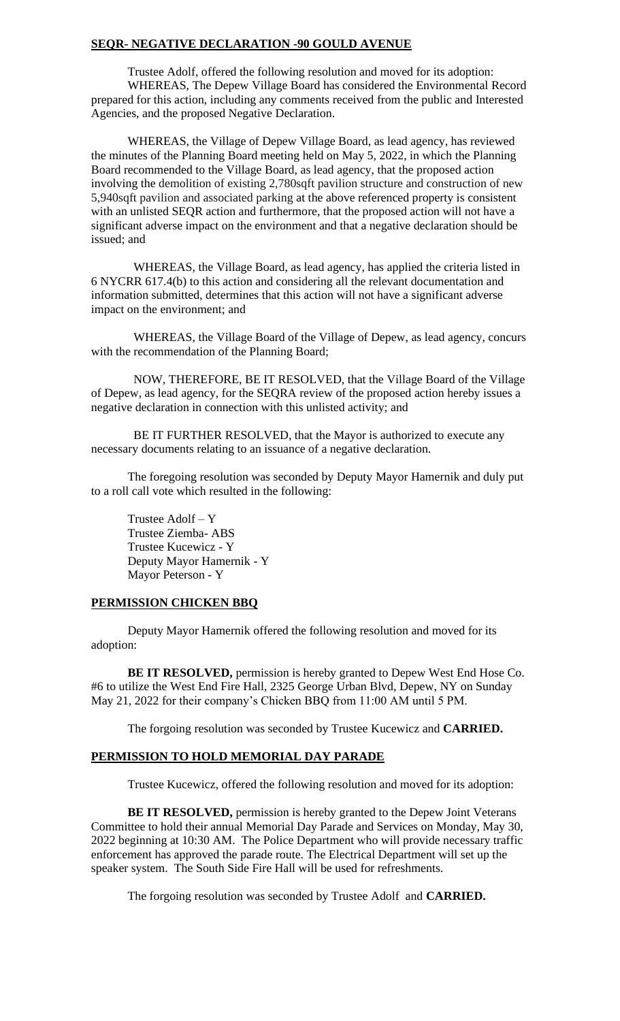#### **SEQR- NEGATIVE DECLARATION -90 GOULD AVENUE**

Trustee Adolf, offered the following resolution and moved for its adoption: WHEREAS, The Depew Village Board has considered the Environmental Record prepared for this action, including any comments received from the public and Interested Agencies, and the proposed Negative Declaration.

WHEREAS, the Village of Depew Village Board, as lead agency, has reviewed the minutes of the Planning Board meeting held on May 5, 2022, in which the Planning Board recommended to the Village Board, as lead agency, that the proposed action involving the demolition of existing 2,780sqft pavilion structure and construction of new 5,940sqft pavilion and associated parking at the above referenced property is consistent with an unlisted SEQR action and furthermore, that the proposed action will not have a significant adverse impact on the environment and that a negative declaration should be issued; and

 WHEREAS, the Village Board, as lead agency, has applied the criteria listed in 6 NYCRR 617.4(b) to this action and considering all the relevant documentation and information submitted, determines that this action will not have a significant adverse impact on the environment; and

 WHEREAS, the Village Board of the Village of Depew, as lead agency, concurs with the recommendation of the Planning Board;

 NOW, THEREFORE, BE IT RESOLVED, that the Village Board of the Village of Depew, as lead agency, for the SEQRA review of the proposed action hereby issues a negative declaration in connection with this unlisted activity; and

 BE IT FURTHER RESOLVED, that the Mayor is authorized to execute any necessary documents relating to an issuance of a negative declaration.

The foregoing resolution was seconded by Deputy Mayor Hamernik and duly put to a roll call vote which resulted in the following:

Trustee Adolf – Y Trustee Ziemba- ABS Trustee Kucewicz - Y Deputy Mayor Hamernik - Y Mayor Peterson - Y

#### **PERMISSION CHICKEN BBQ**

Deputy Mayor Hamernik offered the following resolution and moved for its adoption:

**BE IT RESOLVED,** permission is hereby granted to Depew West End Hose Co. #6 to utilize the West End Fire Hall, 2325 George Urban Blvd, Depew, NY on Sunday May 21, 2022 for their company's Chicken BBQ from 11:00 AM until 5 PM.

The forgoing resolution was seconded by Trustee Kucewicz and **CARRIED.**

## **PERMISSION TO HOLD MEMORIAL DAY PARADE**

Trustee Kucewicz, offered the following resolution and moved for its adoption:

**BE IT RESOLVED,** permission is hereby granted to the Depew Joint Veterans Committee to hold their annual Memorial Day Parade and Services on Monday, May 30, 2022 beginning at 10:30 AM. The Police Department who will provide necessary traffic enforcement has approved the parade route. The Electrical Department will set up the speaker system. The South Side Fire Hall will be used for refreshments.

The forgoing resolution was seconded by Trustee Adolf and **CARRIED.**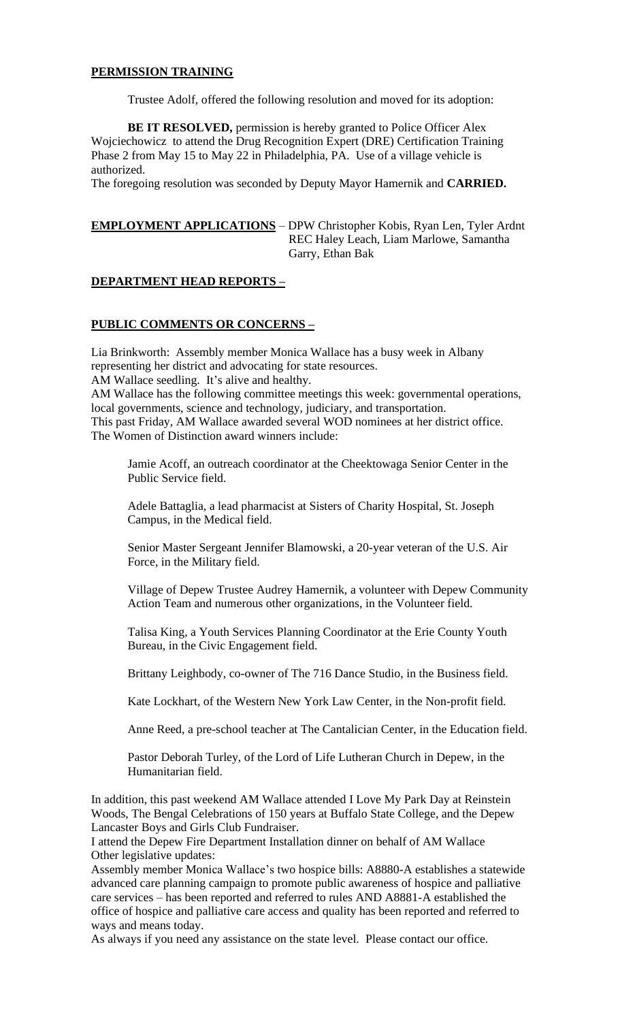#### **PERMISSION TRAINING**

Trustee Adolf, offered the following resolution and moved for its adoption:

**BE IT RESOLVED,** permission is hereby granted to Police Officer Alex Wojciechowicz to attend the Drug Recognition Expert (DRE) Certification Training Phase 2 from May 15 to May 22 in Philadelphia, PA. Use of a village vehicle is authorized.

The foregoing resolution was seconded by Deputy Mayor Hamernik and **CARRIED.**

# **EMPLOYMENT APPLICATIONS** – DPW Christopher Kobis, Ryan Len, Tyler Ardnt REC Haley Leach, Liam Marlowe, Samantha Garry, Ethan Bak

## **DEPARTMENT HEAD REPORTS –**

## **PUBLIC COMMENTS OR CONCERNS –**

Lia Brinkworth: Assembly member Monica Wallace has a busy week in Albany representing her district and advocating for state resources.

AM Wallace seedling. It's alive and healthy.

AM Wallace has the following committee meetings this week: governmental operations, local governments, science and technology, judiciary, and transportation. This past Friday, AM Wallace awarded several WOD nominees at her district office. The Women of Distinction award winners include:

Jamie Acoff, an outreach coordinator at the Cheektowaga Senior Center in the Public Service field.

Adele Battaglia, a lead pharmacist at Sisters of Charity Hospital, St. Joseph Campus, in the Medical field.

Senior Master Sergeant Jennifer Blamowski, a 20-year veteran of the U.S. Air Force, in the Military field.

Village of Depew Trustee Audrey Hamernik, a volunteer with Depew Community Action Team and numerous other organizations, in the Volunteer field.

Talisa King, a Youth Services Planning Coordinator at the Erie County Youth Bureau, in the Civic Engagement field.

Brittany Leighbody, co-owner of The 716 Dance Studio, in the Business field.

Kate Lockhart, of the Western New York Law Center, in the Non-profit field.

Anne Reed, a pre-school teacher at The Cantalician Center, in the Education field.

Pastor Deborah Turley, of the Lord of Life Lutheran Church in Depew, in the Humanitarian field.

In addition, this past weekend AM Wallace attended I Love My Park Day at Reinstein Woods, The Bengal Celebrations of 150 years at Buffalo State College, and the Depew Lancaster Boys and Girls Club Fundraiser.

I attend the Depew Fire Department Installation dinner on behalf of AM Wallace Other legislative updates:

Assembly member Monica Wallace's two hospice bills: A8880-A establishes a statewide advanced care planning campaign to promote public awareness of hospice and palliative care services – has been reported and referred to rules AND A8881-A established the office of hospice and palliative care access and quality has been reported and referred to ways and means today.

As always if you need any assistance on the state level. Please contact our office.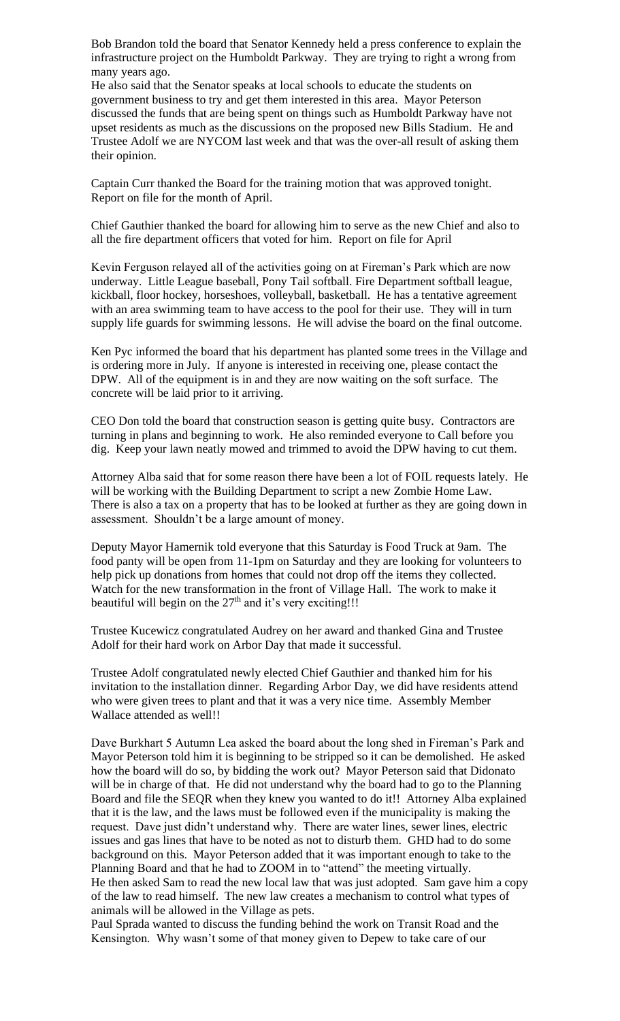Bob Brandon told the board that Senator Kennedy held a press conference to explain the infrastructure project on the Humboldt Parkway. They are trying to right a wrong from many years ago.

He also said that the Senator speaks at local schools to educate the students on government business to try and get them interested in this area. Mayor Peterson discussed the funds that are being spent on things such as Humboldt Parkway have not upset residents as much as the discussions on the proposed new Bills Stadium. He and Trustee Adolf we are NYCOM last week and that was the over-all result of asking them their opinion.

Captain Curr thanked the Board for the training motion that was approved tonight. Report on file for the month of April.

Chief Gauthier thanked the board for allowing him to serve as the new Chief and also to all the fire department officers that voted for him. Report on file for April

Kevin Ferguson relayed all of the activities going on at Fireman's Park which are now underway. Little League baseball, Pony Tail softball. Fire Department softball league, kickball, floor hockey, horseshoes, volleyball, basketball. He has a tentative agreement with an area swimming team to have access to the pool for their use. They will in turn supply life guards for swimming lessons. He will advise the board on the final outcome.

Ken Pyc informed the board that his department has planted some trees in the Village and is ordering more in July. If anyone is interested in receiving one, please contact the DPW. All of the equipment is in and they are now waiting on the soft surface. The concrete will be laid prior to it arriving.

CEO Don told the board that construction season is getting quite busy. Contractors are turning in plans and beginning to work. He also reminded everyone to Call before you dig. Keep your lawn neatly mowed and trimmed to avoid the DPW having to cut them.

Attorney Alba said that for some reason there have been a lot of FOIL requests lately. He will be working with the Building Department to script a new Zombie Home Law. There is also a tax on a property that has to be looked at further as they are going down in assessment. Shouldn't be a large amount of money.

Deputy Mayor Hamernik told everyone that this Saturday is Food Truck at 9am. The food panty will be open from 11-1pm on Saturday and they are looking for volunteers to help pick up donations from homes that could not drop off the items they collected. Watch for the new transformation in the front of Village Hall. The work to make it beautiful will begin on the  $27<sup>th</sup>$  and it's very exciting!!!

Trustee Kucewicz congratulated Audrey on her award and thanked Gina and Trustee Adolf for their hard work on Arbor Day that made it successful.

Trustee Adolf congratulated newly elected Chief Gauthier and thanked him for his invitation to the installation dinner. Regarding Arbor Day, we did have residents attend who were given trees to plant and that it was a very nice time. Assembly Member Wallace attended as well!!

Dave Burkhart 5 Autumn Lea asked the board about the long shed in Fireman's Park and Mayor Peterson told him it is beginning to be stripped so it can be demolished. He asked how the board will do so, by bidding the work out? Mayor Peterson said that Didonato will be in charge of that. He did not understand why the board had to go to the Planning Board and file the SEQR when they knew you wanted to do it!! Attorney Alba explained that it is the law, and the laws must be followed even if the municipality is making the request. Dave just didn't understand why. There are water lines, sewer lines, electric issues and gas lines that have to be noted as not to disturb them. GHD had to do some background on this. Mayor Peterson added that it was important enough to take to the Planning Board and that he had to ZOOM in to "attend" the meeting virtually. He then asked Sam to read the new local law that was just adopted. Sam gave him a copy of the law to read himself. The new law creates a mechanism to control what types of animals will be allowed in the Village as pets.

Paul Sprada wanted to discuss the funding behind the work on Transit Road and the Kensington. Why wasn't some of that money given to Depew to take care of our